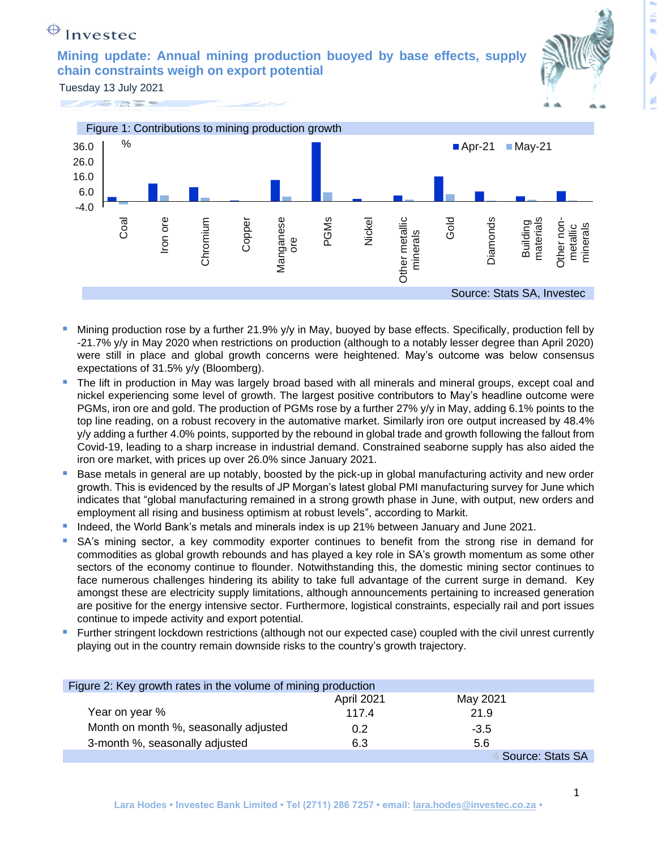## $\bigoplus$  Investec

**Mining update: Annual mining production buoyed by base effects, supply chain constraints weigh on export potential**



Tuesday 13 July 2021





- Mining production rose by a further 21.9% y/y in May, buoyed by base effects. Specifically, production fell by -21.7% y/y in May 2020 when restrictions on production (although to a notably lesser degree than April 2020) were still in place and global growth concerns were heightened. May's outcome was below consensus expectations of 31.5% y/y (Bloomberg).
- The lift in production in May was largely broad based with all minerals and mineral groups, except coal and nickel experiencing some level of growth. The largest positive contributors to May's headline outcome were PGMs, iron ore and gold. The production of PGMs rose by a further 27% y/y in May, adding 6.1% points to the top line reading, on a robust recovery in the automative market. Similarly iron ore output increased by 48.4% y/y adding a further 4.0% points, supported by the rebound in global trade and growth following the fallout from Covid-19, leading to a sharp increase in industrial demand. Constrained seaborne supply has also aided the iron ore market, with prices up over 26.0% since January 2021.
- Base metals in general are up notably, boosted by the pick-up in global manufacturing activity and new order growth. This is evidenced by the results of JP Morgan's latest global PMI manufacturing survey for June which indicates that "global manufacturing remained in a strong growth phase in June, with output, new orders and employment all rising and business optimism at robust levels", according to Markit.
- Indeed, the World Bank's metals and minerals index is up 21% between January and June 2021.
- SA's mining sector, a key commodity exporter continues to benefit from the strong rise in demand for commodities as global growth rebounds and has played a key role in SA's growth momentum as some other sectors of the economy continue to flounder. Notwithstanding this, the domestic mining sector continues to face numerous challenges hindering its ability to take full advantage of the current surge in demand. Key amongst these are electricity supply limitations, although announcements pertaining to increased generation are positive for the energy intensive sector. Furthermore, logistical constraints, especially rail and port issues continue to impede activity and export potential.
- Further stringent lockdown restrictions (although not our expected case) coupled with the civil unrest currently playing out in the country remain downside risks to the country's growth trajectory.

| Figure 2: Key growth rates in the volume of mining production |            |                  |
|---------------------------------------------------------------|------------|------------------|
|                                                               | April 2021 | May 2021         |
| Year on year %                                                | 117.4      | 21.9             |
| Month on month %, seasonally adjusted                         | 0.2        | $-3.5$           |
| 3-month %, seasonally adjusted                                | 6.3        | 5.6              |
|                                                               |            | Source: Stats SA |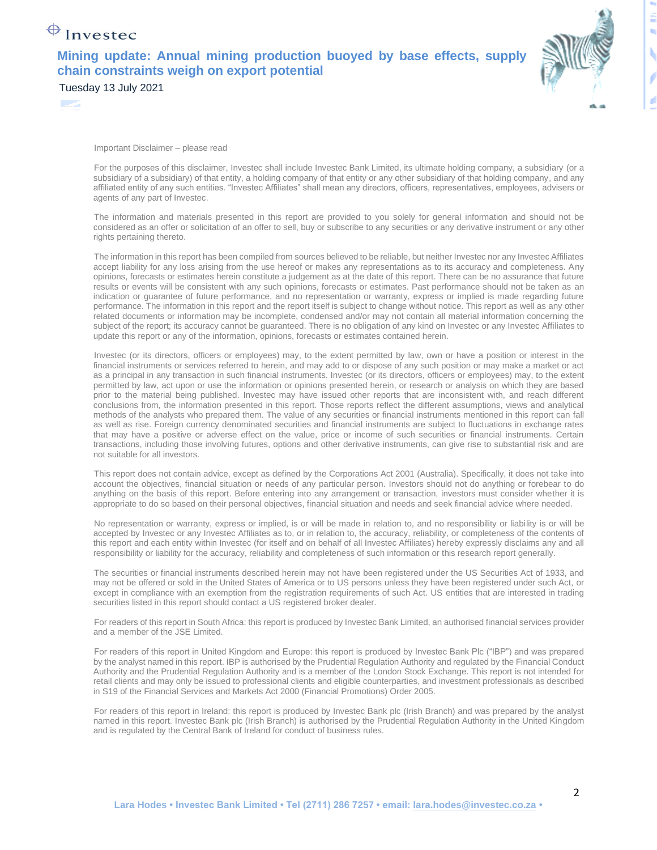## $\bigoplus$  Investec

## **Mining update: Annual mining production buoyed by base effects, supply chain constraints weigh on export potential** Tuesday 13 July 2021



Important Disclaimer – please read

For the purposes of this disclaimer, Investec shall include Investec Bank Limited, its ultimate holding company, a subsidiary (or a subsidiary of a subsidiary) of that entity, a holding company of that entity or any other subsidiary of that holding company, and any affiliated entity of any such entities. "Investec Affiliates" shall mean any directors, officers, representatives, employees, advisers or agents of any part of Investec.

The information and materials presented in this report are provided to you solely for general information and should not be considered as an offer or solicitation of an offer to sell, buy or subscribe to any securities or any derivative instrument or any other rights pertaining thereto.

The information in this report has been compiled from sources believed to be reliable, but neither Investec nor any Investec Affiliates accept liability for any loss arising from the use hereof or makes any representations as to its accuracy and completeness. Any opinions, forecasts or estimates herein constitute a judgement as at the date of this report. There can be no assurance that future results or events will be consistent with any such opinions, forecasts or estimates. Past performance should not be taken as an indication or guarantee of future performance, and no representation or warranty, express or implied is made regarding future performance. The information in this report and the report itself is subject to change without notice. This report as well as any other related documents or information may be incomplete, condensed and/or may not contain all material information concerning the subject of the report; its accuracy cannot be guaranteed. There is no obligation of any kind on Investec or any Investec Affiliates to update this report or any of the information, opinions, forecasts or estimates contained herein.

Investec (or its directors, officers or employees) may, to the extent permitted by law, own or have a position or interest in the financial instruments or services referred to herein, and may add to or dispose of any such position or may make a market or act as a principal in any transaction in such financial instruments. Investec (or its directors, officers or employees) may, to the extent permitted by law, act upon or use the information or opinions presented herein, or research or analysis on which they are based prior to the material being published. Investec may have issued other reports that are inconsistent with, and reach different conclusions from, the information presented in this report. Those reports reflect the different assumptions, views and analytical methods of the analysts who prepared them. The value of any securities or financial instruments mentioned in this report can fall as well as rise. Foreign currency denominated securities and financial instruments are subject to fluctuations in exchange rates that may have a positive or adverse effect on the value, price or income of such securities or financial instruments. Certain transactions, including those involving futures, options and other derivative instruments, can give rise to substantial risk and are not suitable for all investors.

This report does not contain advice, except as defined by the Corporations Act 2001 (Australia). Specifically, it does not take into account the objectives, financial situation or needs of any particular person. Investors should not do anything or forebear to do anything on the basis of this report. Before entering into any arrangement or transaction, investors must consider whether it is appropriate to do so based on their personal objectives, financial situation and needs and seek financial advice where needed.

No representation or warranty, express or implied, is or will be made in relation to, and no responsibility or liability is or will be accepted by Investec or any Investec Affiliates as to, or in relation to, the accuracy, reliability, or completeness of the contents of this report and each entity within Investec (for itself and on behalf of all Investec Affiliates) hereby expressly disclaims any and all responsibility or liability for the accuracy, reliability and completeness of such information or this research report generally.

The securities or financial instruments described herein may not have been registered under the US Securities Act of 1933, and may not be offered or sold in the United States of America or to US persons unless they have been registered under such Act, or except in compliance with an exemption from the registration requirements of such Act. US entities that are interested in trading securities listed in this report should contact a US registered broker dealer.

For readers of this report in South Africa: this report is produced by Investec Bank Limited, an authorised financial services provider and a member of the JSE Limited.

For readers of this report in United Kingdom and Europe: this report is produced by Investec Bank Plc ("IBP") and was prepared by the analyst named in this report. IBP is authorised by the Prudential Regulation Authority and regulated by the Financial Conduct Authority and the Prudential Regulation Authority and is a member of the London Stock Exchange. This report is not intended for retail clients and may only be issued to professional clients and eligible counterparties, and investment professionals as described in S19 of the Financial Services and Markets Act 2000 (Financial Promotions) Order 2005.

For readers of this report in Ireland: this report is produced by Investec Bank plc (Irish Branch) and was prepared by the analyst named in this report. Investec Bank plc (Irish Branch) is authorised by the Prudential Regulation Authority in the United Kingdom and is regulated by the Central Bank of Ireland for conduct of business rules.